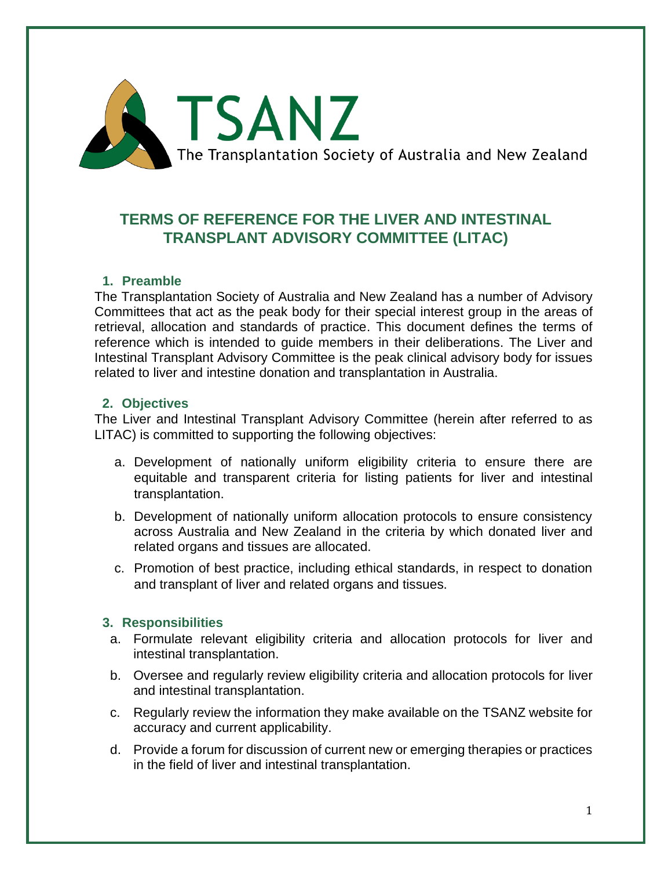

# **TERMS OF REFERENCE FOR THE LIVER AND INTESTINAL TRANSPLANT ADVISORY COMMITTEE (LITAC)**

## **1. Preamble**

The Transplantation Society of Australia and New Zealand has a number of Advisory Committees that act as the peak body for their special interest group in the areas of retrieval, allocation and standards of practice. This document defines the terms of reference which is intended to guide members in their deliberations. The Liver and Intestinal Transplant Advisory Committee is the peak clinical advisory body for issues related to liver and intestine donation and transplantation in Australia.

#### **2. Objectives**

The Liver and Intestinal Transplant Advisory Committee (herein after referred to as LITAC) is committed to supporting the following objectives:

- a. Development of nationally uniform eligibility criteria to ensure there are equitable and transparent criteria for listing patients for liver and intestinal transplantation.
- b. Development of nationally uniform allocation protocols to ensure consistency across Australia and New Zealand in the criteria by which donated liver and related organs and tissues are allocated.
- c. Promotion of best practice, including ethical standards, in respect to donation and transplant of liver and related organs and tissues.

#### **3. Responsibilities**

- a. Formulate relevant eligibility criteria and allocation protocols for liver and intestinal transplantation.
- b. Oversee and regularly review eligibility criteria and allocation protocols for liver and intestinal transplantation.
- c. Regularly review the information they make available on the TSANZ website for accuracy and current applicability.
- d. Provide a forum for discussion of current new or emerging therapies or practices in the field of liver and intestinal transplantation.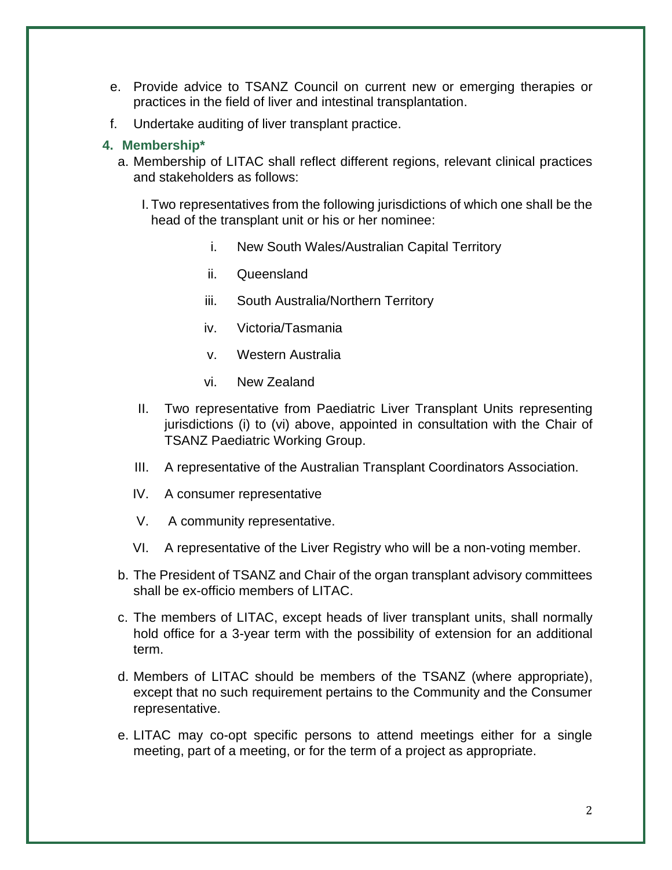- e. Provide advice to TSANZ Council on current new or emerging therapies or practices in the field of liver and intestinal transplantation.
- f. Undertake auditing of liver transplant practice.

### **4. Membership\***

- a. Membership of LITAC shall reflect different regions, relevant clinical practices and stakeholders as follows:
	- I. Two representatives from the following jurisdictions of which one shall be the head of the transplant unit or his or her nominee:
		- i. New South Wales/Australian Capital Territory
		- ii. Queensland
		- iii. South Australia/Northern Territory
		- iv. Victoria/Tasmania
		- v. Western Australia
		- vi. New Zealand
	- II. Two representative from Paediatric Liver Transplant Units representing jurisdictions (i) to (vi) above, appointed in consultation with the Chair of TSANZ Paediatric Working Group.
	- III. A representative of the Australian Transplant Coordinators Association.
	- IV. A consumer representative
	- V. A community representative.
	- VI. A representative of the Liver Registry who will be a non-voting member.
- b. The President of TSANZ and Chair of the organ transplant advisory committees shall be ex-officio members of LITAC.
- c. The members of LITAC, except heads of liver transplant units, shall normally hold office for a 3-year term with the possibility of extension for an additional term.
- d. Members of LITAC should be members of the TSANZ (where appropriate), except that no such requirement pertains to the Community and the Consumer representative.
- e. LITAC may co-opt specific persons to attend meetings either for a single meeting, part of a meeting, or for the term of a project as appropriate.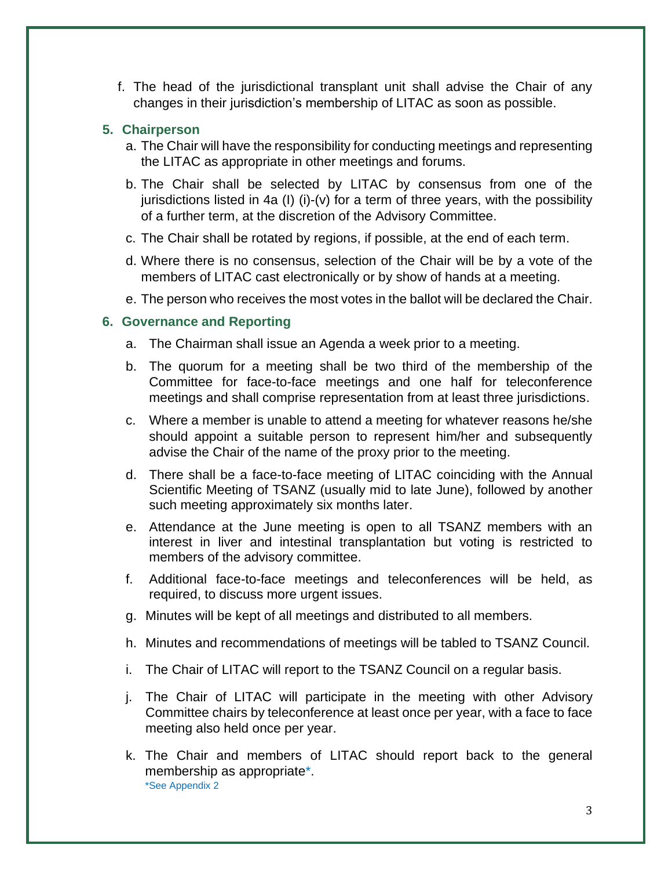f. The head of the jurisdictional transplant unit shall advise the Chair of any changes in their jurisdiction's membership of LITAC as soon as possible.

## **5. Chairperson**

- a. The Chair will have the responsibility for conducting meetings and representing the LITAC as appropriate in other meetings and forums.
- b. The Chair shall be selected by LITAC by consensus from one of the jurisdictions listed in 4a (I) (i)-(v) for a term of three years, with the possibility of a further term, at the discretion of the Advisory Committee.
- c. The Chair shall be rotated by regions, if possible, at the end of each term.
- d. Where there is no consensus, selection of the Chair will be by a vote of the members of LITAC cast electronically or by show of hands at a meeting.
- e. The person who receives the most votes in the ballot will be declared the Chair.

#### **6. Governance and Reporting**

- a. The Chairman shall issue an Agenda a week prior to a meeting.
- b. The quorum for a meeting shall be two third of the membership of the Committee for face-to-face meetings and one half for teleconference meetings and shall comprise representation from at least three jurisdictions.
- c. Where a member is unable to attend a meeting for whatever reasons he/she should appoint a suitable person to represent him/her and subsequently advise the Chair of the name of the proxy prior to the meeting.
- d. There shall be a face-to-face meeting of LITAC coinciding with the Annual Scientific Meeting of TSANZ (usually mid to late June), followed by another such meeting approximately six months later.
- e. Attendance at the June meeting is open to all TSANZ members with an interest in liver and intestinal transplantation but voting is restricted to members of the advisory committee.
- f. Additional face-to-face meetings and teleconferences will be held, as required, to discuss more urgent issues.
- g. Minutes will be kept of all meetings and distributed to all members.
- h. Minutes and recommendations of meetings will be tabled to TSANZ Council.
- i. The Chair of LITAC will report to the TSANZ Council on a regular basis.
- j. The Chair of LITAC will participate in the meeting with other Advisory Committee chairs by teleconference at least once per year, with a face to face meeting also held once per year.
- k. The Chair and members of LITAC should report back to the general membership as appropriate\*. \*See Appendix 2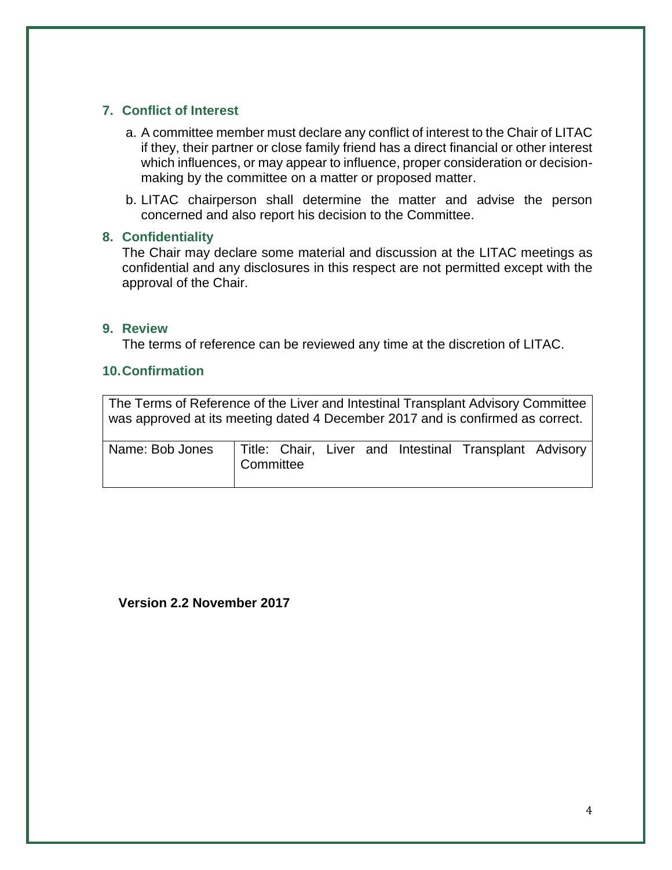## **7. Conflict of Interest**

- a. A committee member must declare any conflict of interest to the Chair of LITAC if they, their partner or close family friend has a direct financial or other interest which influences, or may appear to influence, proper consideration or decisionmaking by the committee on a matter or proposed matter.
- b. LITAC chairperson shall determine the matter and advise the person concerned and also report his decision to the Committee.

#### **8. Confidentiality**

The Chair may declare some material and discussion at the LITAC meetings as confidential and any disclosures in this respect are not permitted except with the approval of the Chair.

#### **9. Review**

The terms of reference can be reviewed any time at the discretion of LITAC.

#### **10.Confirmation**

The Terms of Reference of the Liver and Intestinal Transplant Advisory Committee was approved at its meeting dated 4 December 2017 and is confirmed as correct.

| Name: Bob Jones   Title: Chair, Liver and Intestinal Transplant Advisory | Committee |  |  |  |
|--------------------------------------------------------------------------|-----------|--|--|--|

**Version 2.2 November 2017**